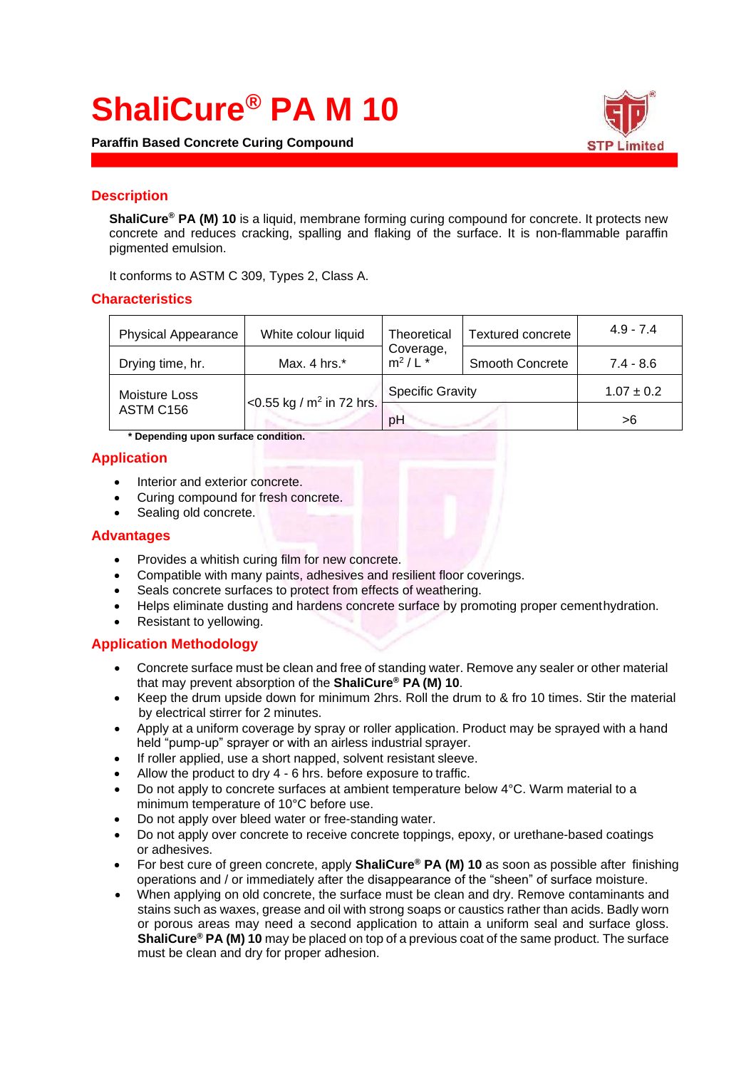# **ShaliCure® PA M 10**

**Paraffin Based Concrete Curing Compound**



## **Description**

**ShaliCure® PA (M) 10** is a liquid, membrane forming curing compound for concrete. It protects new concrete and reduces cracking, spalling and flaking of the surface. It is non-flammable paraffin pigmented emulsion.

It conforms to ASTM C 309, Types 2, Class A.

## **Characteristics**

| <b>Physical Appearance</b> | White colour liquid                  | Theoretical<br>Coverage,<br>$m^2/L$ <sup>*</sup> | Textured concrete | $4.9 - 7.4$    |
|----------------------------|--------------------------------------|--------------------------------------------------|-------------------|----------------|
| Drying time, hr.           | Max. 4 hrs. $*$                      |                                                  | Smooth Concrete   | $7.4 - 8.6$    |
| Moisture Loss              | <0.55 kg / m <sup>2</sup> in 72 hrs. | <b>Specific Gravity</b>                          |                   | $1.07 \pm 0.2$ |
| ASTM C156                  |                                      | pH                                               |                   | >6             |

**\* Depending upon surface condition.**

## **Application**

- Interior and exterior concrete.
- Curing compound for fresh concrete.
- Sealing old concrete.

## **Advantages**

- Provides a whitish curing film for new concrete.
- Compatible with many paints, adhesives and resilient floor coverings.
- Seals concrete surfaces to protect from effects of weathering.
- Helps eliminate dusting and hardens concrete surface by promoting proper cementhydration.
- Resistant to yellowing.

## **Application Methodology**

- Concrete surface must be clean and free of standing water. Remove any sealer or other material that may prevent absorption of the **ShaliCure® PA (M) 10**.
- Keep the drum upside down for minimum 2hrs. Roll the drum to & fro 10 times. Stir the material by electrical stirrer for 2 minutes.
- Apply at a uniform coverage by spray or roller application. Product may be sprayed with a hand held "pump-up" sprayer or with an airless industrial sprayer.
- If roller applied, use a short napped, solvent resistant sleeve.
- Allow the product to dry 4 6 hrs. before exposure to traffic.
- Do not apply to concrete surfaces at ambient temperature below 4°C. Warm material to a minimum temperature of 10°C before use.
- Do not apply over bleed water or free-standing water.
- Do not apply over concrete to receive concrete toppings, epoxy, or urethane-based coatings or adhesives.
- For best cure of green concrete, apply **ShaliCure® PA (M) 10** as soon as possible after finishing operations and / or immediately after the disappearance of the "sheen" of surface moisture.
- When applying on old concrete, the surface must be clean and dry. Remove contaminants and stains such as waxes, grease and oil with strong soaps or caustics rather than acids. Badly worn or porous areas may need a second application to attain a uniform seal and surface gloss. **ShaliCure® PA (M) 10** may be placed on top of a previous coat of the same product. The surface must be clean and dry for proper adhesion.